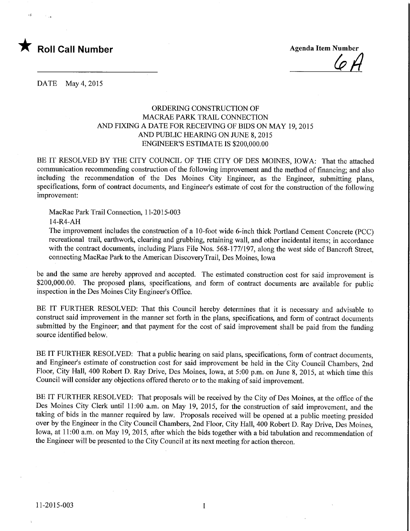

 $\mathbf{H}$ 

 $\mathcal{L}$ 

DATE May 4,2015

## ORDERING CONSTRUCTION OF MACRAE PARK TRAIL CONNECTION AND FIXING A DATE FOR RECEWING OF BIDS ON MAY 19,2015 AND PUBLIC HEARING ON JUNE 8,2015 ENGINEER'S ESTIMATE IS \$200,000.00

BE IT RESOLVED BY THE CITY COUNCIL OF THE CITY OF DES MOINES, IOWA: That the attached communication recommending construction of the following improvement and the method of financing; and also including the recommendation of the Des Moines City Engineer, as the Engineer, submitting plans, specifications, form of contract documents, and Engineer's estimate of cost for the construction of the following improvement:

MacRae Park Trail Connection, 1 1-2015-003

14-R4-AH

The improvement includes the construction of a 10-foot wide 6-inch thick Portland Cement Concrete (PCC) recreational trail, earthwork, clearing and grubbing, retaining wall, and other incidental items; in accordance with the contract documents, including Plans File Nos. 568-177/197, along the west side of Bancroft Street. connecting MacRae Park to the American DiscoveryTrail, Des Moines, Iowa

be and the same are hereby approved and accepted. The estimated construction cost for said improvement is \$200,000.00. The proposed plans, specifications, and form of contract documents are available for public inspection in the Des Moines City Engineer's Office.

BE IT FURTHER RESOLVED: That this Council hereby determines that it is necessary and advisable to construct said improvement in the manner set forth in the plans, specifications, and form of contract documents submitted by the Engineer; and that payment for the cost of said improvement shall be paid from the funding source identified below.

BE IT FURTHER RESOLVED: That a public hearing on said plans, specifications, form of contract documents, and Engineer's estimate of construction cost for said improvement be held in the City Council Chambers, 2nd Floor, City Hall, 400 Robert D. Ray Drive, Des Moines, Iowa, at 5:00 p.m. on June 8, 2015, at which time this Council will consider any objections offered thereto or to the making of said improvement.

BE IT FURTHER RESOLVED: That proposals will be received by the City of Des Moines, at the office of the Des Moines City Clerk until 11:00 a.m. on May 19, 2015, for the construction of said improvement, and the taking of bids in the manner required by law. Proposals received will be opened at a public meeting presided over by the Engineer in the City Council Chambers, 2nd Floor, City Hall, 400 Robert D. Ray Drive, Des Moines, Iowa, at 11:00 a.m. on May 19, 2015, after which the bids together with a bid tabulation and recommendation of the Engineer will be presented to the City Council at its next meeting for action thereon.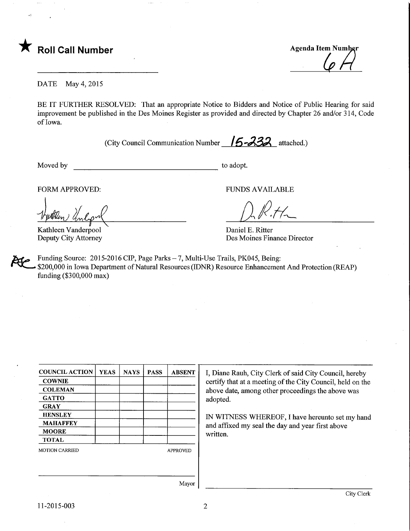

**Agenda Item Number** 

DATE May 4,2015

BE IT FURTHER RESOLVED: That an appropriate Notice to Bidders and Notice of Public Hearing for said improvement be published in the Des Moines Register as provided and directed by Chapter 26 and/or 314, Code of Iowa.

(City Council Communication Number  $/5 - 332$  attached.)

Moved by to adopt.

 $\overline{\phantom{0}}$ 

Kathleen Vanderpool Deputy City Attorney

FORM APPROVED: THE RESERVED OF THE RESERVED FUNDS AVAILABLE

Daniel E. Ritter Des Moines Finance Director

Funding Source: 2015-2016 CIP, Page Parks - 7, Multi-Use Trails, PK045, Being: \$200,000 in Iowa Department of Natural Resources (IDNR) Resource Enhancement And Protection (REAP) funding (\$300,000 max)

| <b>YEAS</b> | <b>NAYS</b> | <b>PASS</b> | <b>ABSENT</b>   |
|-------------|-------------|-------------|-----------------|
|             |             |             |                 |
|             |             |             |                 |
|             |             |             |                 |
|             |             |             |                 |
|             |             |             |                 |
|             |             |             |                 |
|             |             |             |                 |
|             |             |             |                 |
|             |             |             | <b>APPROVED</b> |
|             |             |             |                 |
|             |             |             |                 |
|             |             |             |                 |

I, Diane Rauh, City Clerk of said City Council, hereby certify that at a meeting of the City Council, held on the above date, among other proceedings the above was adopted.

IN WITNESS WHEREOF, I have hereunto set my hand and affixed my seal the day and year first above written.

Mayor